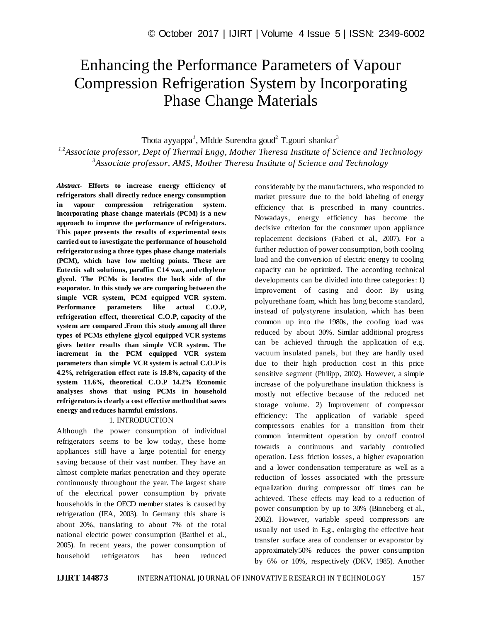# Enhancing the Performance Parameters of Vapour Compression Refrigeration System by Incorporating Phase Change Materials

Thota ayyappa<sup>1</sup>, MIdde Surendra goud<sup>2</sup> T.gouri shankar<sup>3</sup>

*1,2Associate professor, Dept of Thermal Engg, Mother Theresa Institute of Science and Technology 3 Associate professor, AMS, Mother Theresa Institute of Science and Technology*

*Abstract*- **Efforts to increase energy efficiency of refrigerators shall directly reduce energy consumption in vapour compression refrigeration system. Incorporating phase change materials (PCM) is a new approach to improve the performance of refrigerators. This paper presents the results of experimental tests carried out to investigate the performance of household refrigerator using a three types phase change materials (PCM), which have low melting points. These are Eutectic salt solutions, paraffin C14 wax, and ethylene glycol. The PCMs is locates the back side of the evaporator. In this study we are comparing between the simple VCR system, PCM equipped VCR system. Performance parameters like actual C.O.P, refrigeration effect, theoretical C.O.P, capacity of the system are compared .From this study among all three types of PCMs ethylene glycol equipped VCR systems gives better results than simple VCR system. The increment in the PCM equipped VCR system parameters than simple VCR system is actual C.O.P is 4.2%, refrigeration effect rate is 19.8%, capacity of the system 11.6%, theoretical C.O.P 14.2% Economic analyses shows that using PCMs in household refrigerators is clearly a cost effective method that saves energy and reduces harmful emissions.**

### 1. INTRODUCTION

Although the power consumption of individual refrigerators seems to be low today, these home appliances still have a large potential for energy saving because of their vast number. They have an almost complete market penetration and they operate continuously throughout the year. The largest share of the electrical power consumption by private households in the OECD member states is caused by refrigeration (IEA, 2003). In Germany this share is about 20%, translating to about 7% of the total national electric power consumption (Barthel et al., 2005). In recent years, the power consumption of household refrigerators has been reduced considerably by the manufacturers, who responded to market pressure due to the bold labeling of energy efficiency that is prescribed in many countries. Nowadays, energy efficiency has become the decisive criterion for the consumer upon appliance replacement decisions (Faberi et al., 2007). For a further reduction of power consumption, both cooling load and the conversion of electric energy to cooling capacity can be optimized. The according technical developments can be divided into three categories: 1) Improvement of casing and door: By using polyurethane foam, which has long become standard, instead of polystyrene insulation, which has been common up into the 1980s, the cooling load was reduced by about 30%. Similar additional progress can be achieved through the application of e.g. vacuum insulated panels, but they are hardly used due to their high production cost in this price sensitive segment (Philipp, 2002). However, a simple increase of the polyurethane insulation thickness is mostly not effective because of the reduced net storage volume. 2) Improvement of compressor efficiency: The application of variable speed compressors enables for a transition from their common intermittent operation by on/off control towards a continuous and variably controlled operation. Less friction losses, a higher evaporation and a lower condensation temperature as well as a reduction of losses associated with the pressure equalization during compressor off times can be achieved. These effects may lead to a reduction of power consumption by up to 30% (Binneberg et al., 2002). However, variable speed compressors are usually not used in E.g., enlarging the effective heat transfer surface area of condenser or evaporator by approximately50% reduces the power consumption by 6% or 10%, respectively (DKV, 1985). Another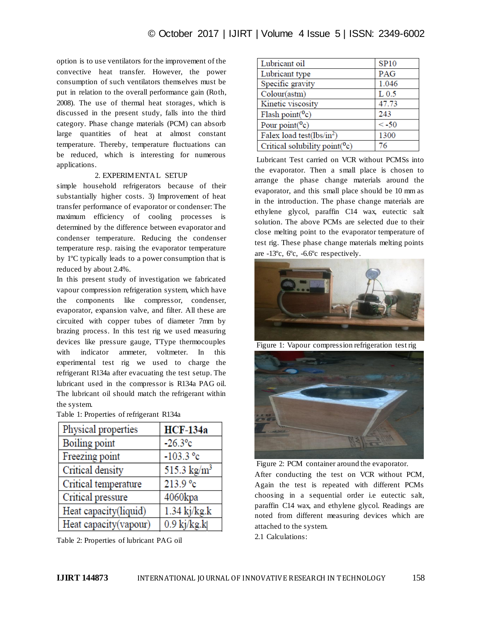option is to use ventilators for the improvement of the convective heat transfer. However, the power consumption of such ventilators themselves must be put in relation to the overall performance gain (Roth, 2008). The use of thermal heat storages, which is discussed in the present study, falls into the third category. Phase change materials (PCM) can absorb large quantities of heat at almost constant temperature. Thereby, temperature fluctuations can be reduced, which is interesting for numerous applications.

## 2. EXPERIMENTAL SETUP

simple household refrigerators because of their substantially higher costs. 3) Improvement of heat transfer performance of evaporator or condenser: The maximum efficiency of cooling processes is determined by the difference between evaporator and condenser temperature. Reducing the condenser temperature resp. raising the evaporator temperature by 1ºC typically leads to a power consumption that is reduced by about 2.4%.

In this present study of investigation we fabricated vapour compression refrigeration system, which have the components like compressor, condenser, evaporator, expansion valve, and filter. All these are circuited with copper tubes of diameter 7mm by brazing process. In this test rig we used measuring devices like pressure gauge, TType thermocouples with indicator ammeter, voltmeter. In this experimental test rig we used to charge the refrigerant R134a after evacuating the test setup. The lubricant used in the compressor is R134a PAG oil. The lubricant oil should match the refrigerant within the system.

| Physical properties   | <b>HCF-134a</b>          |
|-----------------------|--------------------------|
|                       |                          |
| Boiling point         | $-26.3$ °c               |
| Freezing point        | $-103.3$ °c              |
| Critical density      | 515.3 $\text{kg/m}^3$    |
| Critical temperature  | 213.9 °c                 |
| Critical pressure     | 4060kpa                  |
| Heat capacity(liquid) | $1.34$ kj/kg.k           |
| Heat capacity(vapour) | $\overline{0.9}$ kj/kg.k |

Table 1: Properties of refrigerant R134a

Table 2: Properties of lubricant PAG oil

| Lubricant oil                     | <b>SP10</b>      |
|-----------------------------------|------------------|
| Lubricant type                    | PAG              |
| Specific gravity                  | 1.046            |
| Colour(astm)                      | L <sub>0.5</sub> |
| Kinetic viscosity                 | 47.73            |
| Flash point $(^{0}c)$             | 243              |
| Pour point $(^0c)$                | $< -50$          |
| Falex load test( $lbs/in^2$ )     | 1300             |
| Critical solubility point $(^0c)$ | 76               |

Lubricant Test carried on VCR without PCMSs into the evaporator. Then a small place is chosen to arrange the phase change materials around the evaporator, and this small place should be 10 mm as in the introduction. The phase change materials are ethylene glycol, paraffin C14 wax, eutectic salt solution. The above PCMs are selected due to their close melting point to the evaporator temperature of test rig. These phase change materials melting points are -13ºc, 6ºc, -6.6ºc respectively.



Figure 1: Vapour compression refrigeration test rig



Figure 2: PCM container around the evaporator. After conducting the test on VCR without PCM,

Again the test is repeated with different PCMs choosing in a sequential order i.e eutectic salt, paraffin C14 wax, and ethylene glycol. Readings are noted from different measuring devices which are attached to the system.

2.1 Calculations: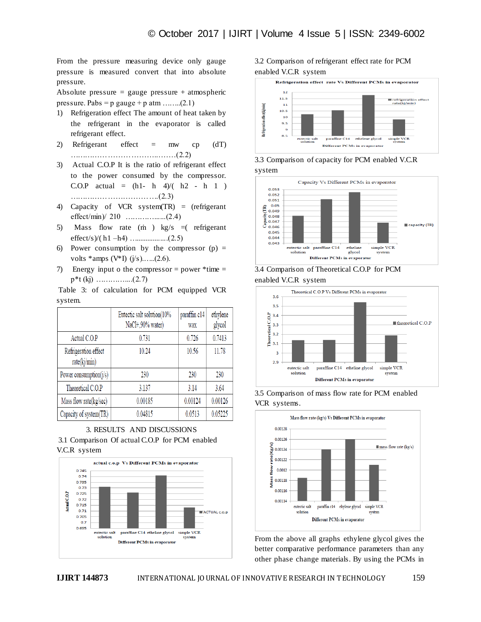From the pressure measuring device only gauge pressure is measured convert that into absolute pressure.

Absolute pressure  $=$  gauge pressure  $+$  atmospheric pressure. Pabs =  $p$  gauge +  $p$  atm ........(2.1)

- 1) Refrigeration effect The amount of heat taken by the refrigerant in the evaporator is called refrigerant effect.
- 2) Refrigerant effect  $=$  mw cp (dT) ……………………………...……(2.2)
- 3) Actual C.O.P It is the ratio of refrigerant effect to the power consumed by the compressor. C.O.P actual =  $(h1-h 4)/(h2 - h 1)$ ………………….………….(2.3)
- 4) Capacity of VCR system(TR) = (refrigerant effect/min)/ 210 …………......(2.4)
- 5) Mass flow rate (m ) kg/s  $=$  refrigerant effect/s)/( h1 –h4) ….................(2.5)
- 6) Power consumption by the compressor  $(p)$  = volts \*amps (V\*I)  $(j/s)$ ......(2.6).
- 7) Energy input o the compressor = power  $*$ time =  $p^*t$  (kj) ……………..(2.7)

Table 3: of calculation for PCM equipped VCR system.

|                                      | Eutectic salt solution(10%<br>NaCl+,90% water) | paraffin c14<br>wax | ethylene<br>glycol |
|--------------------------------------|------------------------------------------------|---------------------|--------------------|
| Actual C.O.P                         | 0.731                                          | 0.726               | 0.7413             |
| Refrigeration effect<br>rate(kj/min) | 10.24                                          | 10.56               | 11.78              |
| Power consumption $(j/s)$            | 230                                            | 230                 | 230                |
| Theoretical C.O.P                    | 3.137                                          | 3.14                | 3.64               |
| Mass flow rate(kg/sec)               | 0.00185                                        | 0.00124             | 0.00126            |
| Capacity of system(TR)               | 0.04815                                        | 0.0513              | 0.05225            |





## 3.2 Comparison of refrigerant effect rate for PCM enabled V.C.R system



3.3 Comparison of capacity for PCM enabled V.C.R system



3.4 Comparison of Theoretical C.O.P for PCM enabled V.C.R system



3.5 Comparison of mass flow rate for PCM enabled VCR systems.

![](_page_2_Figure_21.jpeg)

From the above all graphs ethylene glycol gives the better comparative performance parameters than any other phase change materials. By using the PCMs in